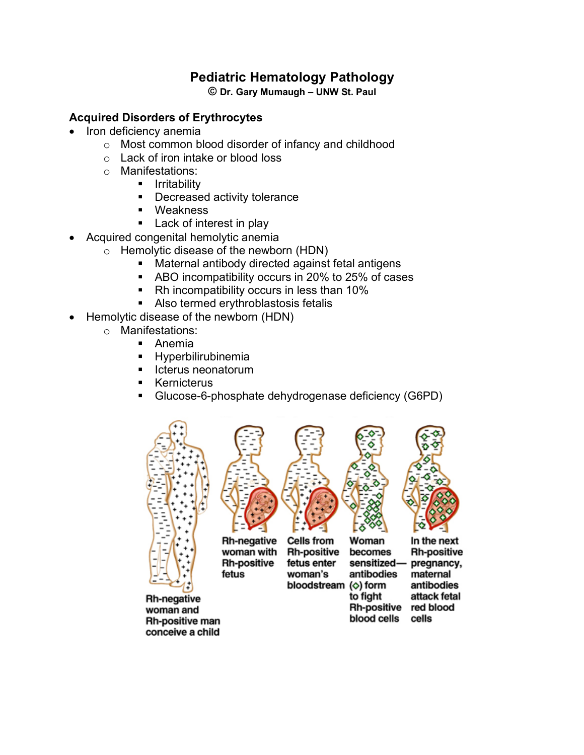# **Pediatric Hematology Pathology**

**© Dr. Gary Mumaugh – UNW St. Paul**

#### **Acquired Disorders of Erythrocytes**

- Iron deficiency anemia
	- o Most common blood disorder of infancy and childhood
	- o Lack of iron intake or blood loss
	- o Manifestations:
		- § Irritability
			- Decreased activity tolerance
			- Weakness
			- Lack of interest in play
- Acquired congenital hemolytic anemia
	- o Hemolytic disease of the newborn (HDN)
		- Maternal antibody directed against fetal antigens
		- ABO incompatibility occurs in 20% to 25% of cases
		- Rh incompatibility occurs in less than 10%
		- Also termed erythroblastosis fetalis
- Hemolytic disease of the newborn (HDN)
	- o Manifestations:
		- Anemia
		- § Hyperbilirubinemia
		- Icterus neonatorum
		- **Kernicterus**
		- § Glucose-6-phosphate dehydrogenase deficiency (G6PD)



Rh-negative woman and **Rh-positive man** conceive a child



**Rh-negative** woman with **Rh-positive** fetus



**Rh-positive** fetus enter woman's bloodstream ( $\diamond$ ) form



**Rh-positive** pregnancy, maternal antibodies attack fetal Rh-positive red blood blood cells cells

In the next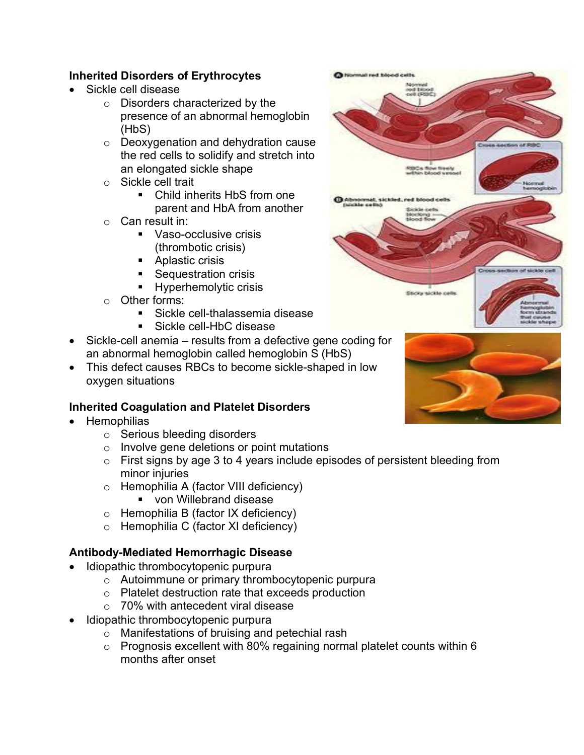## **Inherited Disorders of Erythrocytes**

- Sickle cell disease
	- o Disorders characterized by the presence of an abnormal hemoglobin (HbS)
	- o Deoxygenation and dehydration cause the red cells to solidify and stretch into an elongated sickle shape
	- o Sickle cell trait
		- Child inherits HbS from one parent and HbA from another
	- o Can result in:
		- Vaso-occlusive crisis (thrombotic crisis)
		- Aplastic crisis
		- Sequestration crisis
		- Hyperhemolytic crisis
	- o Other forms:
		- Sickle cell-thalassemia disease
		- § Sickle cell-HbC disease
- Sickle-cell anemia results from a defective gene coding for an abnormal hemoglobin called hemoglobin S (HbS)
- This defect causes RBCs to become sickle-shaped in low oxygen situations

## **Inherited Coagulation and Platelet Disorders**

- **Hemophilias** 
	- o Serious bleeding disorders
	- o Involve gene deletions or point mutations
	- $\circ$  First signs by age 3 to 4 years include episodes of persistent bleeding from minor injuries
	- o Hemophilia A (factor VIII deficiency)
		- von Willebrand disease
	- o Hemophilia B (factor IX deficiency)
	- o Hemophilia C (factor XI deficiency)

## **Antibody-Mediated Hemorrhagic Disease**

- Idiopathic thrombocytopenic purpura
	- o Autoimmune or primary thrombocytopenic purpura
	- o Platelet destruction rate that exceeds production
	- o 70% with antecedent viral disease
- Idiopathic thrombocytopenic purpura
	- o Manifestations of bruising and petechial rash
	- o Prognosis excellent with 80% regaining normal platelet counts within 6 months after onset